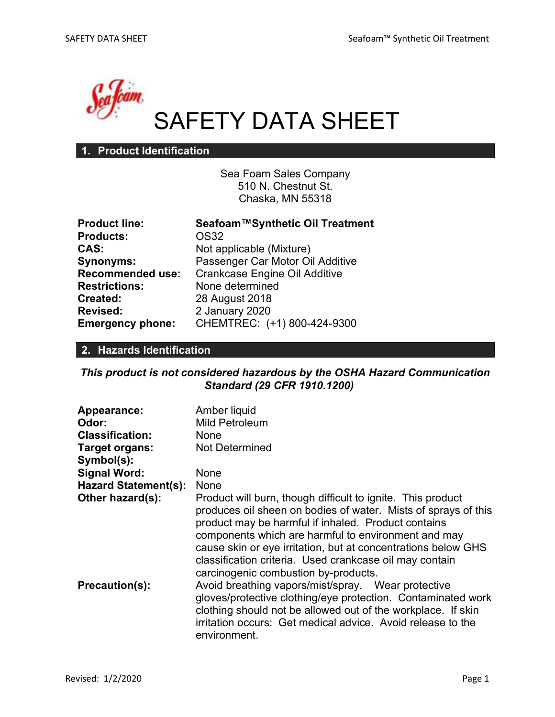

# SAFETY DATA SHEET

#### 1. Product Identification

Sea Foam Sales Company 510 N. Chestnut St. Chaska, MN 55318

| <b>Product line:</b>    | Seafoam™Synthetic Oil Treatment      |
|-------------------------|--------------------------------------|
| <b>Products:</b>        | OS32                                 |
| CAS:                    | Not applicable (Mixture)             |
| <b>Synonyms:</b>        | Passenger Car Motor Oil Additive     |
| <b>Recommended use:</b> | <b>Crankcase Engine Oil Additive</b> |
| <b>Restrictions:</b>    | None determined                      |
| Created:                | 28 August 2018                       |
| <b>Revised:</b>         | 2 January 2020                       |
| <b>Emergency phone:</b> | CHEMTREC: (+1) 800-424-9300          |

#### 2. Hazards Identification

This product is not considered hazardous by the OSHA Hazard Communication Standard (29 CFR 1910.1200)

| Appearance:                 | Amber liquid                                                                                                                                                                                                                                                                                                                                                                                                    |
|-----------------------------|-----------------------------------------------------------------------------------------------------------------------------------------------------------------------------------------------------------------------------------------------------------------------------------------------------------------------------------------------------------------------------------------------------------------|
| Odor:                       | Mild Petroleum                                                                                                                                                                                                                                                                                                                                                                                                  |
| <b>Classification:</b>      | None                                                                                                                                                                                                                                                                                                                                                                                                            |
| Target organs:              | <b>Not Determined</b>                                                                                                                                                                                                                                                                                                                                                                                           |
| Symbol(s):                  |                                                                                                                                                                                                                                                                                                                                                                                                                 |
| <b>Signal Word:</b>         | None                                                                                                                                                                                                                                                                                                                                                                                                            |
| <b>Hazard Statement(s):</b> | None                                                                                                                                                                                                                                                                                                                                                                                                            |
| Other hazard(s):            | Product will burn, though difficult to ignite. This product<br>produces oil sheen on bodies of water. Mists of sprays of this<br>product may be harmful if inhaled. Product contains<br>components which are harmful to environment and may<br>cause skin or eye irritation, but at concentrations below GHS<br>classification criteria. Used crankcase oil may contain<br>carcinogenic combustion by-products. |
| Precaution(s):              | Avoid breathing vapors/mist/spray. Wear protective<br>gloves/protective clothing/eye protection. Contaminated work<br>clothing should not be allowed out of the workplace. If skin<br>irritation occurs: Get medical advice. Avoid release to the<br>environment.                                                                                                                                               |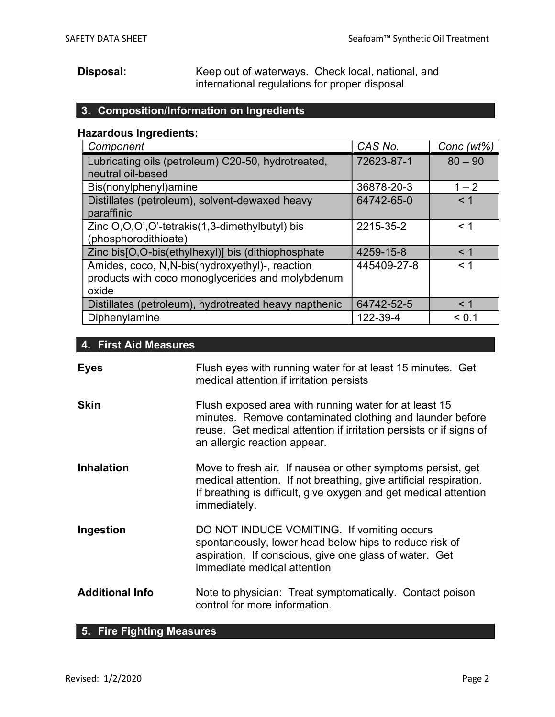Disposal: Keep out of waterways. Check local, national, and international regulations for proper disposal

### 3. Composition/Information on Ingredients

#### Hazardous Ingredients:

| Component                                             | CAS No.     | Conc $(wt\%)$ |
|-------------------------------------------------------|-------------|---------------|
| Lubricating oils (petroleum) C20-50, hydrotreated,    | 72623-87-1  | $80 - 90$     |
| neutral oil-based                                     |             |               |
| Bis(nonylphenyl)amine                                 | 36878-20-3  | $1 - 2$       |
| Distillates (petroleum), solvent-dewaxed heavy        | 64742-65-0  | < 1           |
| paraffinic                                            |             |               |
| Zinc O,O,O',O'-tetrakis(1,3-dimethylbutyl) bis        | 2215-35-2   | $<$ 1         |
| (phosphorodithioate)                                  |             |               |
| Zinc bis[O,O-bis(ethylhexyl)] bis (dithiophosphate    | 4259-15-8   | < 1           |
| Amides, coco, N,N-bis(hydroxyethyl)-, reaction        | 445409-27-8 | $<$ 1         |
| products with coco monoglycerides and molybdenum      |             |               |
| oxide                                                 |             |               |
| Distillates (petroleum), hydrotreated heavy napthenic | 64742-52-5  | $<$ 1         |
| Diphenylamine                                         | 122-39-4    | < 0.1         |

#### 4. First Aid Measures

| <b>Eyes</b>            | Flush eyes with running water for at least 15 minutes. Get<br>medical attention if irritation persists                                                                                                                  |
|------------------------|-------------------------------------------------------------------------------------------------------------------------------------------------------------------------------------------------------------------------|
| <b>Skin</b>            | Flush exposed area with running water for at least 15<br>minutes. Remove contaminated clothing and launder before<br>reuse. Get medical attention if irritation persists or if signs of<br>an allergic reaction appear. |
| <b>Inhalation</b>      | Move to fresh air. If nausea or other symptoms persist, get<br>medical attention. If not breathing, give artificial respiration.<br>If breathing is difficult, give oxygen and get medical attention<br>immediately.    |
| Ingestion              | DO NOT INDUCE VOMITING. If vomiting occurs<br>spontaneously, lower head below hips to reduce risk of<br>aspiration. If conscious, give one glass of water. Get<br>immediate medical attention                           |
| <b>Additional Info</b> | Note to physician: Treat symptomatically. Contact poison<br>control for more information.                                                                                                                               |

# 5. Fire Fighting Measures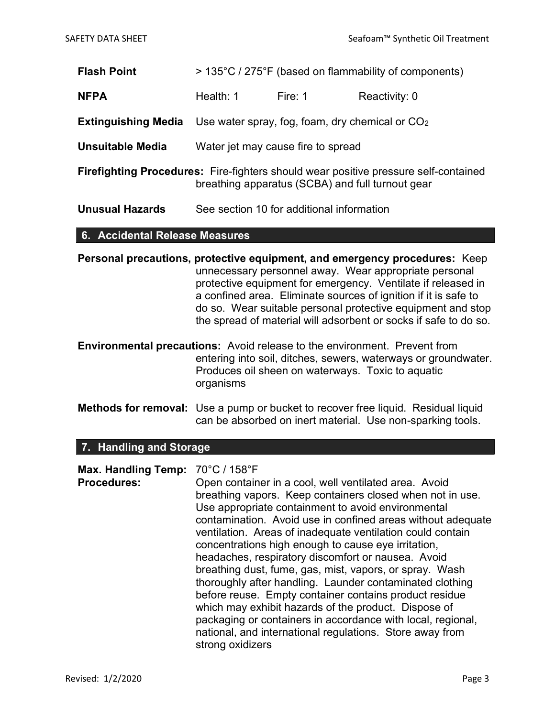- Flash Point > 135°C / 275°F (based on flammability of components)
- **NFPA** Health: 1 Fire: 1 Reactivity: 0
- **Extinguishing Media** Use water spray, fog, foam, dry chemical or  $CO<sub>2</sub>$
- Unsuitable Media Water jet may cause fire to spread
- Firefighting Procedures: Fire-fighters should wear positive pressure self-contained breathing apparatus (SCBA) and full turnout gear
- Unusual Hazards See section 10 for additional information

#### 6. Accidental Release Measures

Personal precautions, protective equipment, and emergency procedures: Keep unnecessary personnel away. Wear appropriate personal protective equipment for emergency. Ventilate if released in a confined area. Eliminate sources of ignition if it is safe to do so. Wear suitable personal protective equipment and stop the spread of material will adsorbent or socks if safe to do so.

Environmental precautions: Avoid release to the environment. Prevent from entering into soil, ditches, sewers, waterways or groundwater. Produces oil sheen on waterways. Toxic to aquatic organisms

Methods for removal: Use a pump or bucket to recover free liquid. Residual liquid can be absorbed on inert material. Use non-sparking tools.

#### 7. Handling and Storage

| Max. Handling Temp: 70°C / 158°F |                                                             |
|----------------------------------|-------------------------------------------------------------|
| <b>Procedures:</b>               | Open container in a cool, well ventilated area. Avoid       |
|                                  | breathing vapors. Keep containers closed when not in use.   |
|                                  | Use appropriate containment to avoid environmental          |
|                                  | contamination. Avoid use in confined areas without adequate |
|                                  | ventilation. Areas of inadequate ventilation could contain  |
|                                  | concentrations high enough to cause eye irritation,         |
|                                  | headaches, respiratory discomfort or nausea. Avoid          |
|                                  | breathing dust, fume, gas, mist, vapors, or spray. Wash     |
|                                  | thoroughly after handling. Launder contaminated clothing    |
|                                  | before reuse. Empty container contains product residue      |
|                                  | which may exhibit hazards of the product. Dispose of        |
|                                  | packaging or containers in accordance with local, regional, |
|                                  | national, and international regulations. Store away from    |
|                                  | strong oxidizers                                            |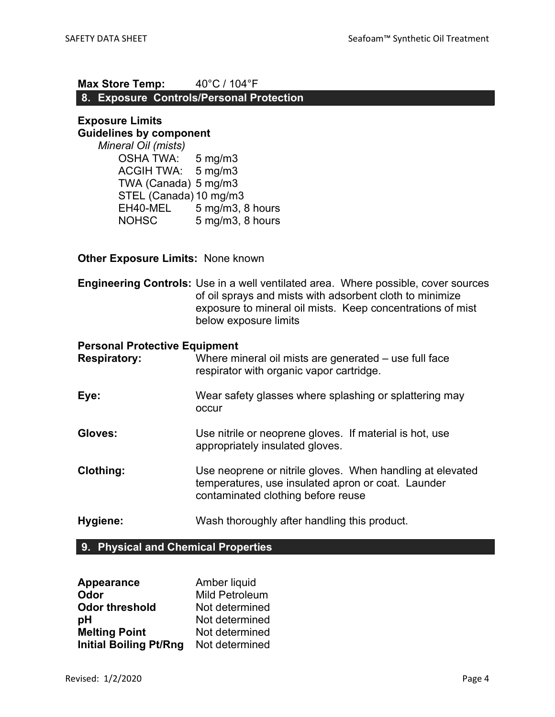# Max Store Temp: 40°C / 104°F

## 8. Exposure Controls/Personal Protection

#### Exposure Limits Guidelines by component

Mineral Oil (mists) OSHA TWA: 5 mg/m3 ACGIH TWA: 5 mg/m3 TWA (Canada) 5 mg/m3 STEL (Canada) 10 mg/m3 EH40-MEL 5 mg/m3, 8 hours NOHSC 5 mg/m3, 8 hours

#### **Other Exposure Limits: None known**

Engineering Controls: Use in a well ventilated area. Where possible, cover sources of oil sprays and mists with adsorbent cloth to minimize exposure to mineral oil mists. Keep concentrations of mist below exposure limits

#### Personal Protective Equipment

| <b>Respiratory:</b> | Where mineral oil mists are generated – use full face<br>respirator with organic vapor cartridge.                                                     |
|---------------------|-------------------------------------------------------------------------------------------------------------------------------------------------------|
| Eye:                | Wear safety glasses where splashing or splattering may<br>occur                                                                                       |
| Gloves:             | Use nitrile or neoprene gloves. If material is hot, use<br>appropriately insulated gloves.                                                            |
| <b>Clothing:</b>    | Use neoprene or nitrile gloves. When handling at elevated<br>temperatures, use insulated apron or coat. Launder<br>contaminated clothing before reuse |
| Hygiene:            | Wash thoroughly after handling this product.                                                                                                          |

#### 9. Physical and Chemical Properties

| Appearance                    | Amber liquid          |
|-------------------------------|-----------------------|
| Odor                          | <b>Mild Petroleum</b> |
| <b>Odor threshold</b>         | Not determined        |
| рH                            | Not determined        |
| <b>Melting Point</b>          | Not determined        |
| <b>Initial Boiling Pt/Rng</b> | Not determined        |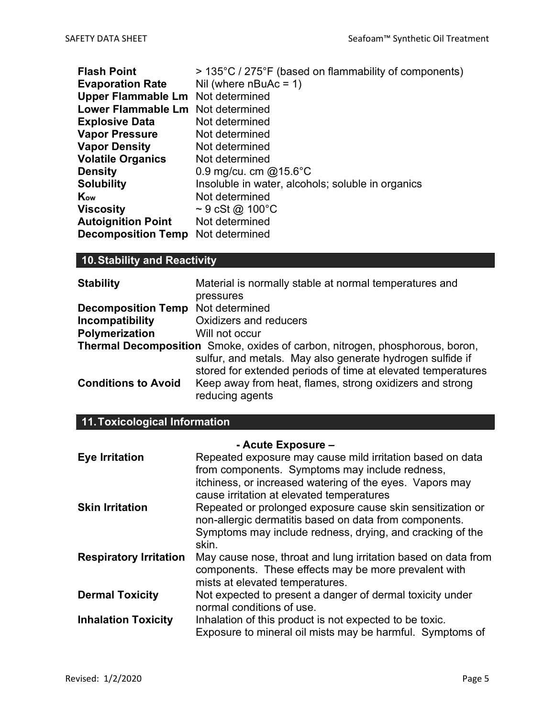| <b>Flash Point</b>                       | > 135°C / 275°F (based on flammability of components) |
|------------------------------------------|-------------------------------------------------------|
| <b>Evaporation Rate</b>                  | Nil (where $nBuAc = 1$ )                              |
| <b>Upper Flammable Lm</b> Not determined |                                                       |
| Lower Flammable Lm Not determined        |                                                       |
| <b>Explosive Data</b>                    | Not determined                                        |
| <b>Vapor Pressure</b>                    | Not determined                                        |
| <b>Vapor Density</b>                     | Not determined                                        |
| <b>Volatile Organics</b>                 | Not determined                                        |
| <b>Density</b>                           | 0.9 mg/cu. cm $@15.6^{\circ}$ C                       |
| <b>Solubility</b>                        | Insoluble in water, alcohols; soluble in organics     |
| Kow                                      | Not determined                                        |
| <b>Viscosity</b>                         | $\sim$ 9 cSt @ 100 $^{\circ}$ C                       |
| <b>Autoignition Point</b>                | Not determined                                        |
| <b>Decomposition Temp</b>                | Not determined                                        |

# 10. Stability and Reactivity

| <b>Stability</b>                         | Material is normally stable at normal temperatures and                                                                    |
|------------------------------------------|---------------------------------------------------------------------------------------------------------------------------|
|                                          | pressures                                                                                                                 |
| <b>Decomposition Temp</b> Not determined |                                                                                                                           |
| Incompatibility                          | Oxidizers and reducers                                                                                                    |
| Polymerization                           | Will not occur                                                                                                            |
|                                          | <b>Thermal Decomposition</b> Smoke, oxides of carbon, nitrogen, phosphorous, boron,                                       |
|                                          | sulfur, and metals. May also generate hydrogen sulfide if<br>stored for extended periods of time at elevated temperatures |
| <b>Conditions to Avoid</b>               | Keep away from heat, flames, strong oxidizers and strong<br>reducing agents                                               |

# 11. Toxicological Information

|                               | - Acute Exposure -                                                                                                                                       |
|-------------------------------|----------------------------------------------------------------------------------------------------------------------------------------------------------|
| <b>Eye Irritation</b>         | Repeated exposure may cause mild irritation based on data<br>from components. Symptoms may include redness,                                              |
|                               | itchiness, or increased watering of the eyes. Vapors may<br>cause irritation at elevated temperatures                                                    |
| <b>Skin Irritation</b>        | Repeated or prolonged exposure cause skin sensitization or<br>non-allergic dermatitis based on data from components.                                     |
|                               | Symptoms may include redness, drying, and cracking of the<br>skin.                                                                                       |
| <b>Respiratory Irritation</b> | May cause nose, throat and lung irritation based on data from<br>components. These effects may be more prevalent with<br>mists at elevated temperatures. |
| <b>Dermal Toxicity</b>        | Not expected to present a danger of dermal toxicity under<br>normal conditions of use.                                                                   |
| <b>Inhalation Toxicity</b>    | Inhalation of this product is not expected to be toxic.<br>Exposure to mineral oil mists may be harmful. Symptoms of                                     |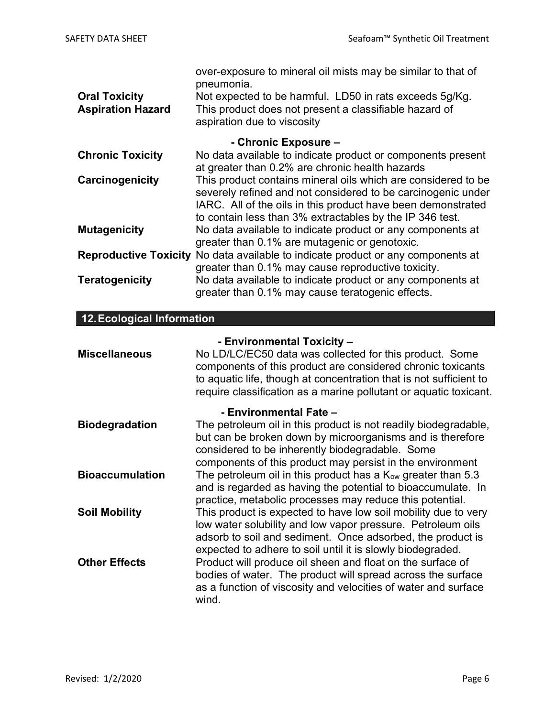|                          | over-exposure to mineral oil mists may be similar to that of<br>pneumonia.              |
|--------------------------|-----------------------------------------------------------------------------------------|
| <b>Oral Toxicity</b>     | Not expected to be harmful. LD50 in rats exceeds 5q/Kg.                                 |
| <b>Aspiration Hazard</b> | This product does not present a classifiable hazard of                                  |
|                          | aspiration due to viscosity                                                             |
|                          | - Chronic Exposure -                                                                    |
| <b>Chronic Toxicity</b>  | No data available to indicate product or components present                             |
|                          | at greater than 0.2% are chronic health hazards                                         |
| Carcinogenicity          | This product contains mineral oils which are considered to be                           |
|                          | severely refined and not considered to be carcinogenic under                            |
|                          | IARC. All of the oils in this product have been demonstrated                            |
|                          | to contain less than 3% extractables by the IP 346 test.                                |
| <b>Mutagenicity</b>      | No data available to indicate product or any components at                              |
|                          | greater than 0.1% are mutagenic or genotoxic.                                           |
|                          | <b>Reproductive Toxicity</b> No data available to indicate product or any components at |
|                          | greater than 0.1% may cause reproductive toxicity.                                      |
| <b>Teratogenicity</b>    | No data available to indicate product or any components at                              |
|                          | greater than 0.1% may cause teratogenic effects.                                        |

# 12. Ecological Information

| <b>Miscellaneous</b>   | - Environmental Toxicity -<br>No LD/LC/EC50 data was collected for this product. Some<br>components of this product are considered chronic toxicants<br>to aquatic life, though at concentration that is not sufficient to<br>require classification as a marine pollutant or aquatic toxicant. |
|------------------------|-------------------------------------------------------------------------------------------------------------------------------------------------------------------------------------------------------------------------------------------------------------------------------------------------|
| <b>Biodegradation</b>  | - Environmental Fate -<br>The petroleum oil in this product is not readily biodegradable,<br>but can be broken down by microorganisms and is therefore<br>considered to be inherently biodegradable. Some<br>components of this product may persist in the environment                          |
| <b>Bioaccumulation</b> | The petroleum oil in this product has a Kow greater than 5.3<br>and is regarded as having the potential to bioaccumulate. In<br>practice, metabolic processes may reduce this potential.                                                                                                        |
| <b>Soil Mobility</b>   | This product is expected to have low soil mobility due to very<br>low water solubility and low vapor pressure. Petroleum oils<br>adsorb to soil and sediment. Once adsorbed, the product is<br>expected to adhere to soil until it is slowly biodegraded.                                       |
| <b>Other Effects</b>   | Product will produce oil sheen and float on the surface of<br>bodies of water. The product will spread across the surface<br>as a function of viscosity and velocities of water and surface<br>wind.                                                                                            |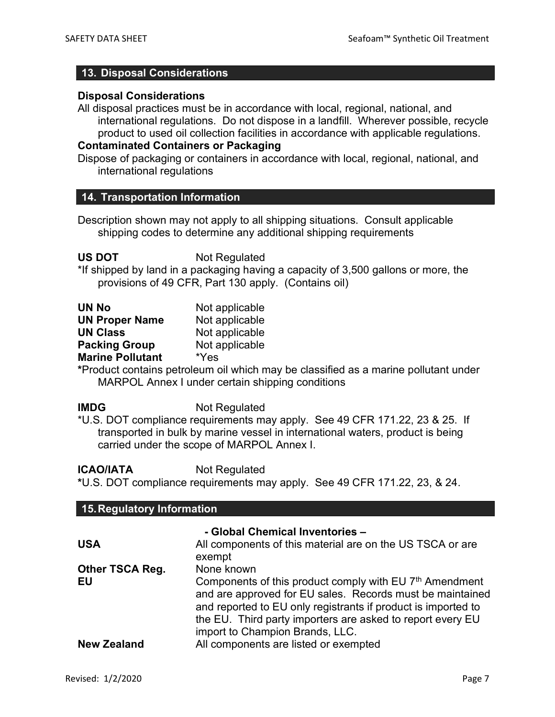#### 13. Disposal Considerations

#### Disposal Considerations

All disposal practices must be in accordance with local, regional, national, and international regulations. Do not dispose in a landfill. Wherever possible, recycle product to used oil collection facilities in accordance with applicable regulations.

#### Contaminated Containers or Packaging

Dispose of packaging or containers in accordance with local, regional, national, and international regulations

#### 14. Transportation Information

Description shown may not apply to all shipping situations. Consult applicable shipping codes to determine any additional shipping requirements

US DOT Not Regulated

\*If shipped by land in a packaging having a capacity of 3,500 gallons or more, the provisions of 49 CFR, Part 130 apply. (Contains oil)

| <b>UN No</b>            | Not applicable |
|-------------------------|----------------|
| <b>UN Proper Name</b>   | Not applicable |
| <b>UN Class</b>         | Not applicable |
| <b>Packing Group</b>    | Not applicable |
| <b>Marine Pollutant</b> | *Yes           |
|                         |                |

\*Product contains petroleum oil which may be classified as a marine pollutant under MARPOL Annex I under certain shipping conditions

IMDG Not Regulated

\*U.S. DOT compliance requirements may apply. See 49 CFR 171.22, 23 & 25. If transported in bulk by marine vessel in international waters, product is being carried under the scope of MARPOL Annex I.

**ICAO/IATA** Not Regulated

\*U.S. DOT compliance requirements may apply. See 49 CFR 171.22, 23, & 24.

| 15. Regulatory Information   |                                                                                                                                                                                                                                                                               |  |  |  |
|------------------------------|-------------------------------------------------------------------------------------------------------------------------------------------------------------------------------------------------------------------------------------------------------------------------------|--|--|--|
| <b>USA</b>                   | - Global Chemical Inventories -<br>All components of this material are on the US TSCA or are<br>exempt                                                                                                                                                                        |  |  |  |
| <b>Other TSCA Reg.</b><br>EU | None known<br>Components of this product comply with EU 7 <sup>th</sup> Amendment<br>and are approved for EU sales. Records must be maintained<br>and reported to EU only registrants if product is imported to<br>the EU. Third party importers are asked to report every EU |  |  |  |
| <b>New Zealand</b>           | import to Champion Brands, LLC.<br>All components are listed or exempted                                                                                                                                                                                                      |  |  |  |